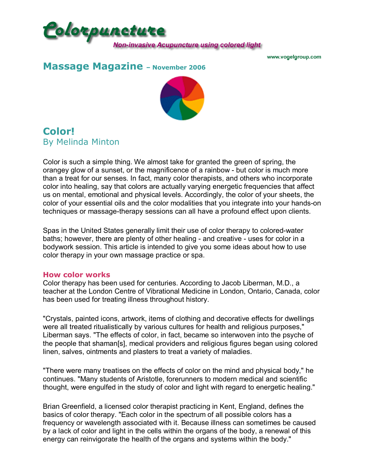

www.vogelgroup.com

## **Massage Magazine** - November 2006



# **Color!** By Melinda Minton

Color is such a simple thing. We almost take for granted the green of spring, the orangey glow of a sunset, or the magnificence of a rainbow - but color is much more than a treat for our senses. In fact, many color therapists, and others who incorporate color into healing, say that colors are actually varying energetic frequencies that affect us on mental, emotional and physical levels. Accordingly, the color of your sheets, the color of your essential oils and the color modalities that you integrate into your hands-on techniques or massage-therapy sessions can all have a profound effect upon clients.

Spas in the United States generally limit their use of color therapy to colored-water baths; however, there are plenty of other healing - and creative - uses for color in a bodywork session. This article is intended to give you some ideas about how to use color therapy in your own massage practice or spa.

### **How color works**

Color therapy has been used for centuries. According to Jacob Liberman, M.D., a teacher at the London Centre of Vibrational Medicine in London, Ontario, Canada, color has been used for treating illness throughout history.

"Crystals, painted icons, artwork, items of clothing and decorative effects for dwellings were all treated ritualistically by various cultures for health and religious purposes," Liberman says. "The effects of color, in fact, became so interwoven into the psyche of the people that shaman[s], medical providers and religious figures began using colored linen, salves, ointments and plasters to treat a variety of maladies.

"There were many treatises on the effects of color on the mind and physical body," he continues. "Many students of Aristotle, forerunners to modern medical and scientific thought, were engulfed in the study of color and light with regard to energetic healing."

Brian Greenfield, a licensed color therapist practicing in Kent, England, defines the basics of color therapy. "Each color in the spectrum of all possible colors has a frequency or wavelength associated with it. Because illness can sometimes be caused by a lack of color and light in the cells within the organs of the body, a renewal of this energy can reinvigorate the health of the organs and systems within the body."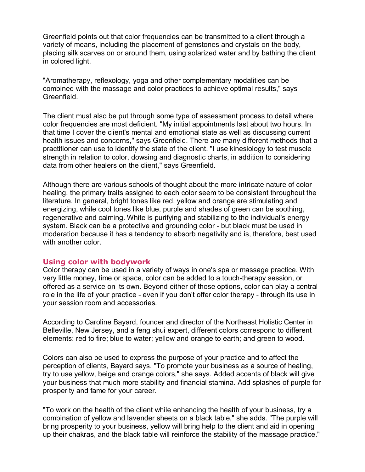Greenfield points out that color frequencies can be transmitted to a client through a variety of means, including the placement of gemstones and crystals on the body, placing silk scarves on or around them, using solarized water and by bathing the client in colored light.

"Aromatherapy, reflexology, yoga and other complementary modalities can be combined with the massage and color practices to achieve optimal results," says Greenfield.

The client must also be put through some type of assessment process to detail where color frequencies are most deficient. "My initial appointments last about two hours. In that time I cover the client's mental and emotional state as well as discussing current health issues and concerns," says Greenfield. There are many different methods that a practitioner can use to identify the state of the client. "I use kinesiology to test muscle strength in relation to color, dowsing and diagnostic charts, in addition to considering data from other healers on the client," says Greenfield.

Although there are various schools of thought about the more intricate nature of color healing, the primary traits assigned to each color seem to be consistent throughout the literature. In general, bright tones like red, yellow and orange are stimulating and energizing, while cool tones like blue, purple and shades of green can be soothing, regenerative and calming. White is purifying and stabilizing to the individual's energy system. Black can be a protective and grounding color - but black must be used in moderation because it has a tendency to absorb negativity and is, therefore, best used with another color.

#### **Using color with bodywork**

Color therapy can be used in a variety of ways in one's spa or massage practice. With very little money, time or space, color can be added to a touch-therapy session, or offered as a service on its own. Beyond either of those options, color can play a central role in the life of your practice - even if you don't offer color therapy - through its use in your session room and accessories.

According to Caroline Bayard, founder and director of the Northeast Holistic Center in Belleville, New Jersey, and a feng shui expert, different colors correspond to different elements: red to fire; blue to water; yellow and orange to earth; and green to wood.

Colors can also be used to express the purpose of your practice and to affect the perception of clients, Bayard says. "To promote your business as a source of healing, try to use yellow, beige and orange colors," she says. Added accents of black will give your business that much more stability and financial stamina. Add splashes of purple for prosperity and fame for your career.

"To work on the health of the client while enhancing the health of your business, try a combination of yellow and lavender sheets on a black table," she adds. "The purple will bring prosperity to your business, yellow will bring help to the client and aid in opening up their chakras, and the black table will reinforce the stability of the massage practice."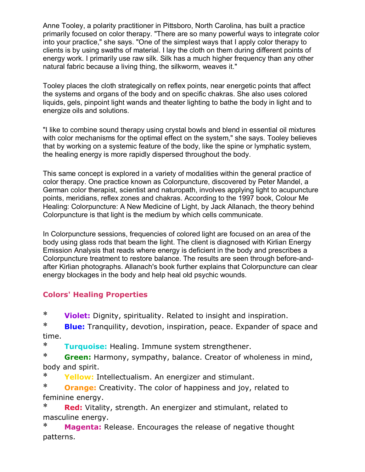Anne Tooley, a polarity practitioner in Pittsboro, North Carolina, has built a practice primarily focused on color therapy. "There are so many powerful ways to integrate color into your practice," she says. "One of the simplest ways that I apply color therapy to clients is by using swaths of material. I lay the cloth on them during different points of energy work. I primarily use raw silk. Silk has a much higher frequency than any other natural fabric because a living thing, the silkworm, weaves it."

Tooley places the cloth strategically on reflex points, near energetic points that affect the systems and organs of the body and on specific chakras. She also uses colored liquids, gels, pinpoint light wands and theater lighting to bathe the body in light and to energize oils and solutions.

"I like to combine sound therapy using crystal bowls and blend in essential oil mixtures with color mechanisms for the optimal effect on the system," she says. Tooley believes that by working on a systemic feature of the body, like the spine or lymphatic system, the healing energy is more rapidly dispersed throughout the body.

This same concept is explored in a variety of modalities within the general practice of color therapy. One practice known as Colorpuncture, discovered by Peter Mandel, a German color therapist, scientist and naturopath, involves applying light to acupuncture points, meridians, reflex zones and chakras. According to the 1997 book, Colour Me Healing: Colorpuncture: A New Medicine of Light, by Jack Allanach, the theory behind Colorpuncture is that light is the medium by which cells communicate.

In Colorpuncture sessions, frequencies of colored light are focused on an area of the body using glass rods that beam the light. The client is diagnosed with Kirlian Energy Emission Analysis that reads where energy is deficient in the body and prescribes a Colorpuncture treatment to restore balance. The results are seen through before-andafter Kirlian photographs. Allanach's book further explains that Colorpuncture can clear energy blockages in the body and help heal old psychic wounds.

### **Colors' Healing Properties**

\* **Violet:** Dignity, spirituality. Related to insight and inspiration.

\* **Blue:** Tranquility, devotion, inspiration, peace. Expander of space and time.

\* **Turquoise:** Healing. Immune system strengthener.

\* **Green:** Harmony, sympathy, balance. Creator of wholeness in mind, body and spirit.

\* **Yellow:** Intellectualism. An energizer and stimulant.

\* **Orange:** Creativity. The color of happiness and joy, related to feminine energy.

\* **Red:** Vitality, strength. An energizer and stimulant, related to masculine energy.

\* **Magenta:** Release. Encourages the release of negative thought patterns.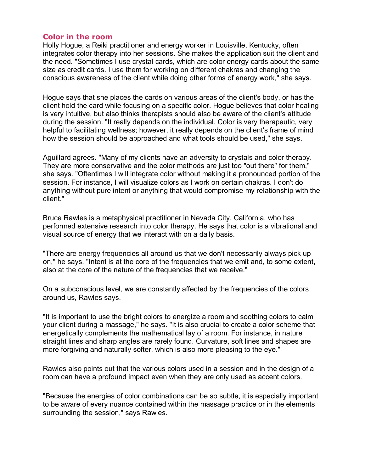### **Color in the room**

Holly Hogue, a Reiki practitioner and energy worker in Louisville, Kentucky, often integrates color therapy into her sessions. She makes the application suit the client and the need. "Sometimes I use crystal cards, which are color energy cards about the same size as credit cards. I use them for working on different chakras and changing the conscious awareness of the client while doing other forms of energy work," she says.

Hogue says that she places the cards on various areas of the client's body, or has the client hold the card while focusing on a specific color. Hogue believes that color healing is very intuitive, but also thinks therapists should also be aware of the client's attitude during the session. "It really depends on the individual. Color is very therapeutic, very helpful to facilitating wellness; however, it really depends on the client's frame of mind how the session should be approached and what tools should be used," she says.

Aguillard agrees. "Many of my clients have an adversity to crystals and color therapy. They are more conservative and the color methods are just too "out there" for them," she says. "Oftentimes I will integrate color without making it a pronounced portion of the session. For instance, I will visualize colors as I work on certain chakras. I don't do anything without pure intent or anything that would compromise my relationship with the client."

Bruce Rawles is a metaphysical practitioner in Nevada City, California, who has performed extensive research into color therapy. He says that color is a vibrational and visual source of energy that we interact with on a daily basis.

"There are energy frequencies all around us that we don't necessarily always pick up on," he says. "Intent is at the core of the frequencies that we emit and, to some extent, also at the core of the nature of the frequencies that we receive."

On a subconscious level, we are constantly affected by the frequencies of the colors around us, Rawles says.

"It is important to use the bright colors to energize a room and soothing colors to calm your client during a massage," he says. "It is also crucial to create a color scheme that energetically complements the mathematical lay of a room. For instance, in nature straight lines and sharp angles are rarely found. Curvature, soft lines and shapes are more forgiving and naturally softer, which is also more pleasing to the eye."

Rawles also points out that the various colors used in a session and in the design of a room can have a profound impact even when they are only used as accent colors.

"Because the energies of color combinations can be so subtle, it is especially important to be aware of every nuance contained within the massage practice or in the elements surrounding the session," says Rawles.